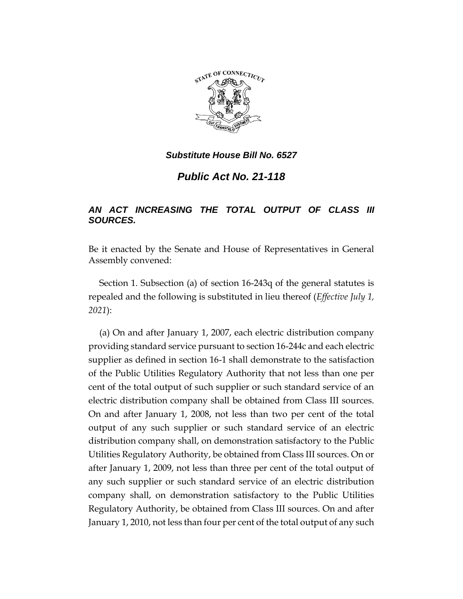

*Substitute House Bill No. 6527*

*Public Act No. 21-118*

## *AN ACT INCREASING THE TOTAL OUTPUT OF CLASS III SOURCES.*

Be it enacted by the Senate and House of Representatives in General Assembly convened:

Section 1. Subsection (a) of section 16-243q of the general statutes is repealed and the following is substituted in lieu thereof (*Effective July 1, 2021*):

(a) On and after January 1, 2007, each electric distribution company providing standard service pursuant to section 16-244c and each electric supplier as defined in section 16-1 shall demonstrate to the satisfaction of the Public Utilities Regulatory Authority that not less than one per cent of the total output of such supplier or such standard service of an electric distribution company shall be obtained from Class III sources. On and after January 1, 2008, not less than two per cent of the total output of any such supplier or such standard service of an electric distribution company shall, on demonstration satisfactory to the Public Utilities Regulatory Authority, be obtained from Class III sources. On or after January 1, 2009, not less than three per cent of the total output of any such supplier or such standard service of an electric distribution company shall, on demonstration satisfactory to the Public Utilities Regulatory Authority, be obtained from Class III sources. On and after January 1, 2010, not less than four per cent of the total output of any such